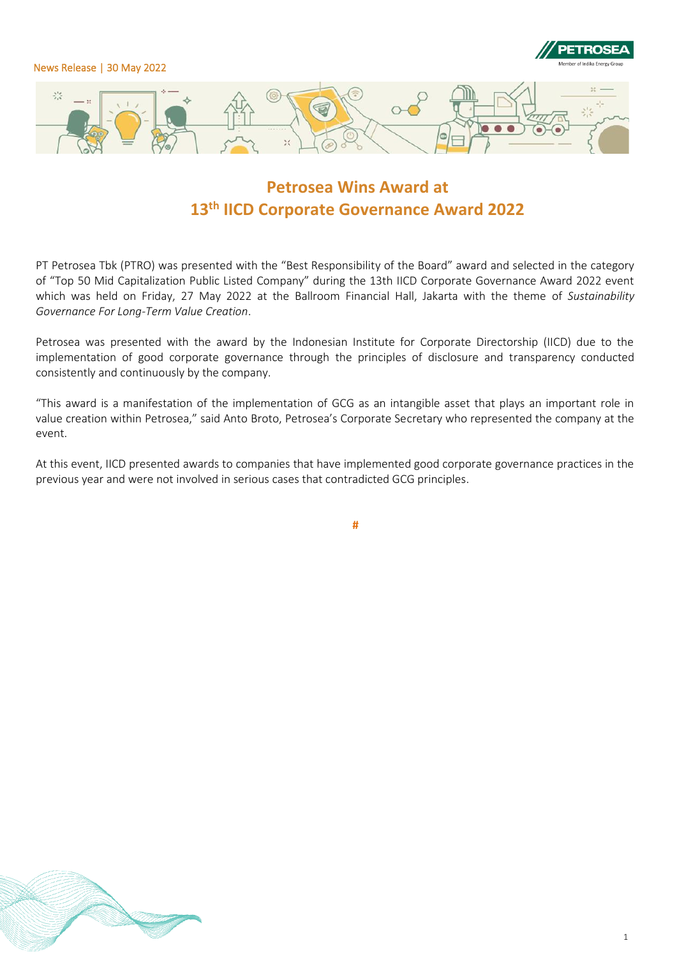

# **Petrosea Wins Award at 13th IICD Corporate Governance Award 2022**

PT Petrosea Tbk (PTRO) was presented with the "Best Responsibility of the Board" award and selected in the category of "Top 50 Mid Capitalization Public Listed Company" during the 13th IICD Corporate Governance Award 2022 event which was held on Friday, 27 May 2022 at the Ballroom Financial Hall, Jakarta with the theme of *Sustainability Governance For Long-Term Value Creation*.

Petrosea was presented with the award by the Indonesian Institute for Corporate Directorship (IICD) due to the implementation of good corporate governance through the principles of disclosure and transparency conducted consistently and continuously by the company.

"This award is a manifestation of the implementation of GCG as an intangible asset that plays an important role in value creation within Petrosea," said Anto Broto, Petrosea's Corporate Secretary who represented the company at the event.

At this event, IICD presented awards to companies that have implemented good corporate governance practices in the previous year and were not involved in serious cases that contradicted GCG principles.